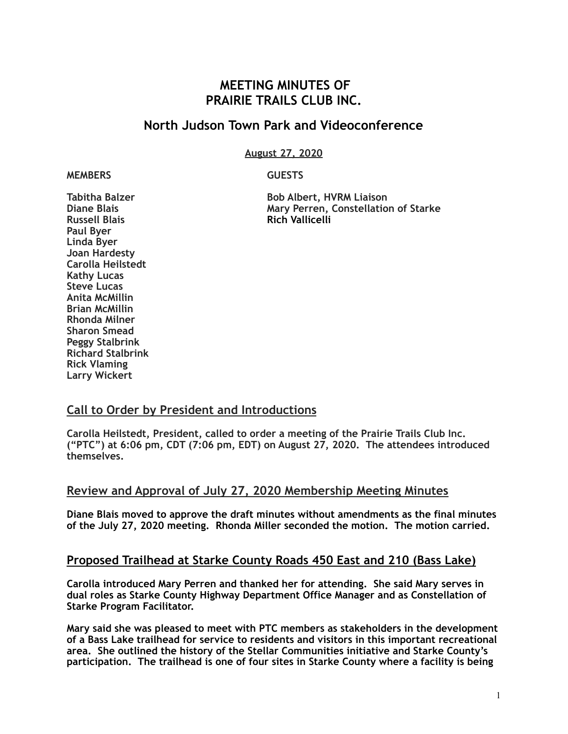# **MEETING MINUTES OF PRAIRIE TRAILS CLUB INC.**

# **North Judson Town Park and Videoconference**

**August 27, 2020**

### **MEMBERS GUESTS**

**Russell Blais Paul Byer Linda Byer Joan Hardesty Carolla Heilstedt Kathy Lucas Steve Lucas Anita McMillin Brian McMillin Rhonda Milner Sharon Smead Peggy Stalbrink Richard Stalbrink Rick Vlaming Larry Wickert** 

**Tabitha Balzer Bob Albert, HVRM Liaison Mary Perren, Constellation of Starke <br>Rich Vallicelli** 

### **Call to Order by President and Introductions**

**Carolla Heilstedt, President, called to order a meeting of the Prairie Trails Club Inc. ("PTC") at 6:06 pm, CDT (7:06 pm, EDT) on August 27, 2020. The attendees introduced themselves.** 

### **Review and Approval of July 27, 2020 Membership Meeting Minutes**

**Diane Blais moved to approve the draft minutes without amendments as the final minutes of the July 27, 2020 meeting. Rhonda Miller seconded the motion. The motion carried.** 

### **Proposed Trailhead at Starke County Roads 450 East and 210 (Bass Lake)**

**Carolla introduced Mary Perren and thanked her for attending. She said Mary serves in dual roles as Starke County Highway Department Office Manager and as Constellation of Starke Program Facilitator.** 

**Mary said she was pleased to meet with PTC members as stakeholders in the development of a Bass Lake trailhead for service to residents and visitors in this important recreational area. She outlined the history of the Stellar Communities initiative and Starke County's participation. The trailhead is one of four sites in Starke County where a facility is being**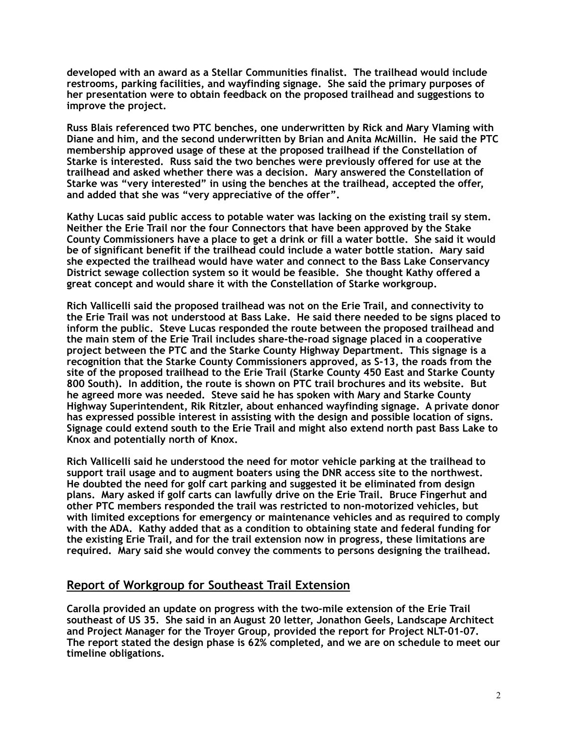**developed with an award as a Stellar Communities finalist. The trailhead would include restrooms, parking facilities, and wayfinding signage. She said the primary purposes of her presentation were to obtain feedback on the proposed trailhead and suggestions to improve the project.** 

**Russ Blais referenced two PTC benches, one underwritten by Rick and Mary Vlaming with Diane and him, and the second underwritten by Brian and Anita McMillin. He said the PTC membership approved usage of these at the proposed trailhead if the Constellation of Starke is interested. Russ said the two benches were previously offered for use at the trailhead and asked whether there was a decision. Mary answered the Constellation of Starke was "very interested" in using the benches at the trailhead, accepted the offer, and added that she was "very appreciative of the offer".** 

**Kathy Lucas said public access to potable water was lacking on the existing trail sy stem. Neither the Erie Trail nor the four Connectors that have been approved by the Stake County Commissioners have a place to get a drink or fill a water bottle. She said it would be of significant benefit if the trailhead could include a water bottle station. Mary said she expected the trailhead would have water and connect to the Bass Lake Conservancy District sewage collection system so it would be feasible. She thought Kathy offered a great concept and would share it with the Constellation of Starke workgroup.** 

**Rich Vallicelli said the proposed trailhead was not on the Erie Trail, and connectivity to the Erie Trail was not understood at Bass Lake. He said there needed to be signs placed to inform the public. Steve Lucas responded the route between the proposed trailhead and the main stem of the Erie Trail includes share-the-road signage placed in a cooperative project between the PTC and the Starke County Highway Department. This signage is a recognition that the Starke County Commissioners approved, as S-13, the roads from the site of the proposed trailhead to the Erie Trail (Starke County 450 East and Starke County 800 South). In addition, the route is shown on PTC trail brochures and its website. But he agreed more was needed. Steve said he has spoken with Mary and Starke County Highway Superintendent, Rik Ritzler, about enhanced wayfinding signage. A private donor has expressed possible interest in assisting with the design and possible location of signs. Signage could extend south to the Erie Trail and might also extend north past Bass Lake to Knox and potentially north of Knox.** 

**Rich Vallicelli said he understood the need for motor vehicle parking at the trailhead to support trail usage and to augment boaters using the DNR access site to the northwest. He doubted the need for golf cart parking and suggested it be eliminated from design plans. Mary asked if golf carts can lawfully drive on the Erie Trail. Bruce Fingerhut and other PTC members responded the trail was restricted to non-motorized vehicles, but with limited exceptions for emergency or maintenance vehicles and as required to comply with the ADA. Kathy added that as a condition to obtaining state and federal funding for the existing Erie Trail, and for the trail extension now in progress, these limitations are required. Mary said she would convey the comments to persons designing the trailhead.** 

### **Report of Workgroup for Southeast Trail Extension**

**Carolla provided an update on progress with the two-mile extension of the Erie Trail southeast of US 35. She said in an August 20 letter, Jonathon Geels, Landscape Architect and Project Manager for the Troyer Group, provided the report for Project NLT-01-07. The report stated the design phase is 62% completed, and we are on schedule to meet our timeline obligations.**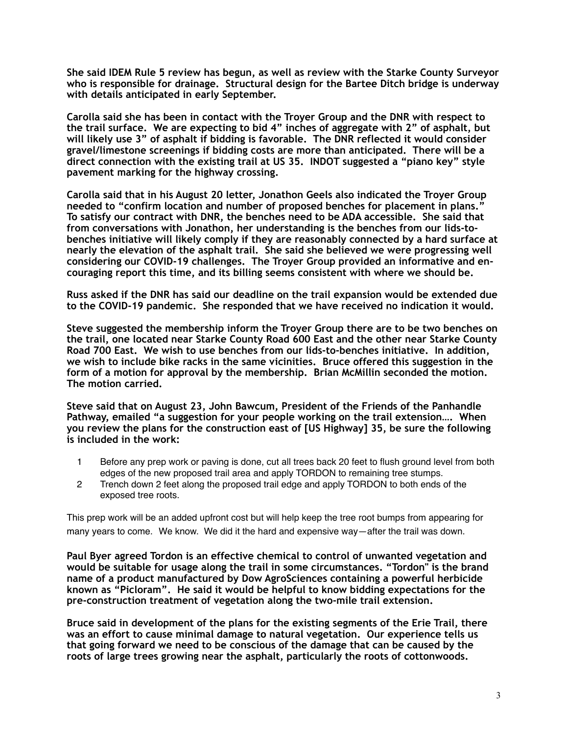**She said IDEM Rule 5 review has begun, as well as review with the Starke County Surveyor who is responsible for drainage. Structural design for the Bartee Ditch bridge is underway with details anticipated in early September.** 

**Carolla said she has been in contact with the Troyer Group and the DNR with respect to the trail surface. We are expecting to bid 4" inches of aggregate with 2" of asphalt, but will likely use 3" of asphalt if bidding is favorable. The DNR reflected it would consider gravel/limestone screenings if bidding costs are more than anticipated. There will be a direct connection with the existing trail at US 35. INDOT suggested a "piano key" style pavement marking for the highway crossing.** 

**Carolla said that in his August 20 letter, Jonathon Geels also indicated the Troyer Group needed to "confirm location and number of proposed benches for placement in plans." To satisfy our contract with DNR, the benches need to be ADA accessible. She said that from conversations with Jonathon, her understanding is the benches from our lids-tobenches initiative will likely comply if they are reasonably connected by a hard surface at nearly the elevation of the asphalt trail. She said she believed we were progressing well considering our COVID-19 challenges. The Troyer Group provided an informative and encouraging report this time, and its billing seems consistent with where we should be.** 

**Russ asked if the DNR has said our deadline on the trail expansion would be extended due to the COVID-19 pandemic. She responded that we have received no indication it would.** 

**Steve suggested the membership inform the Troyer Group there are to be two benches on the trail, one located near Starke County Road 600 East and the other near Starke County Road 700 East. We wish to use benches from our lids-to-benches initiative. In addition, we wish to include bike racks in the same vicinities. Bruce offered this suggestion in the form of a motion for approval by the membership. Brian McMillin seconded the motion. The motion carried.** 

**Steve said that on August 23, John Bawcum, President of the Friends of the Panhandle Pathway, emailed "a suggestion for your people working on the trail extension…. When you review the plans for the construction east of [US Highway] 35, be sure the following is included in the work:** 

- 1 Before any prep work or paving is done, cut all trees back 20 feet to flush ground level from both edges of the new proposed trail area and apply TORDON to remaining tree stumps.
- 2 Trench down 2 feet along the proposed trail edge and apply TORDON to both ends of the exposed tree roots.

This prep work will be an added upfront cost but will help keep the tree root bumps from appearing for many years to come. We know. We did it the hard and expensive way—after the trail was down.

**Paul Byer agreed Tordon is an effective chemical to control of unwanted vegetation and would be suitable for usage along the trail in some circumstances. "Tordon" is the brand name of a product manufactured by Dow AgroSciences containing a powerful herbicide known as "Picloram". He said it would be helpful to know bidding expectations for the pre-construction treatment of vegetation along the two-mile trail extension.** 

**Bruce said in development of the plans for the existing segments of the Erie Trail, there was an effort to cause minimal damage to natural vegetation. Our experience tells us that going forward we need to be conscious of the damage that can be caused by the roots of large trees growing near the asphalt, particularly the roots of cottonwoods.**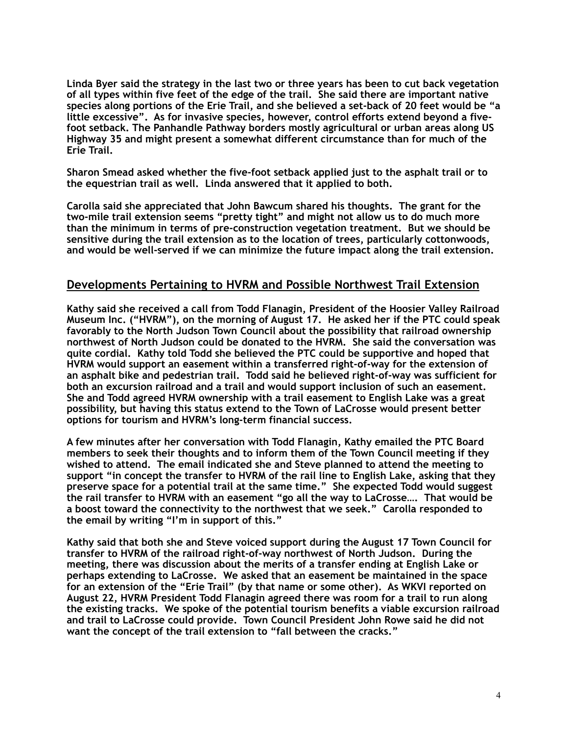**Linda Byer said the strategy in the last two or three years has been to cut back vegetation of all types within five feet of the edge of the trail. She said there are important native species along portions of the Erie Trail, and she believed a set-back of 20 feet would be "a little excessive". As for invasive species, however, control efforts extend beyond a fivefoot setback. The Panhandle Pathway borders mostly agricultural or urban areas along US Highway 35 and might present a somewhat different circumstance than for much of the Erie Trail.** 

**Sharon Smead asked whether the five-foot setback applied just to the asphalt trail or to the equestrian trail as well. Linda answered that it applied to both.** 

**Carolla said she appreciated that John Bawcum shared his thoughts. The grant for the two-mile trail extension seems "pretty tight" and might not allow us to do much more than the minimum in terms of pre-construction vegetation treatment. But we should be sensitive during the trail extension as to the location of trees, particularly cottonwoods, and would be well-served if we can minimize the future impact along the trail extension.** 

### **Developments Pertaining to HVRM and Possible Northwest Trail Extension**

**Kathy said she received a call from Todd Flanagin, President of the Hoosier Valley Railroad Museum Inc. ("HVRM"), on the morning of August 17. He asked her if the PTC could speak favorably to the North Judson Town Council about the possibility that railroad ownership northwest of North Judson could be donated to the HVRM. She said the conversation was quite cordial. Kathy told Todd she believed the PTC could be supportive and hoped that HVRM would support an easement within a transferred right-of-way for the extension of an asphalt bike and pedestrian trail. Todd said he believed right-of-way was sufficient for both an excursion railroad and a trail and would support inclusion of such an easement. She and Todd agreed HVRM ownership with a trail easement to English Lake was a great possibility, but having this status extend to the Town of LaCrosse would present better options for tourism and HVRM's long-term financial success.** 

**A few minutes after her conversation with Todd Flanagin, Kathy emailed the PTC Board members to seek their thoughts and to inform them of the Town Council meeting if they wished to attend. The email indicated she and Steve planned to attend the meeting to support "in concept the transfer to HVRM of the rail line to English Lake, asking that they preserve space for a potential trail at the same time." She expected Todd would suggest the rail transfer to HVRM with an easement "go all the way to LaCrosse…. That would be a boost toward the connectivity to the northwest that we seek." Carolla responded to the email by writing "I'm in support of this."** 

**Kathy said that both she and Steve voiced support during the August 17 Town Council for transfer to HVRM of the railroad right-of-way northwest of North Judson. During the meeting, there was discussion about the merits of a transfer ending at English Lake or perhaps extending to LaCrosse. We asked that an easement be maintained in the space for an extension of the "Erie Trail" (by that name or some other). As WKVI reported on August 22, HVRM President Todd Flanagin agreed there was room for a trail to run along the existing tracks. We spoke of the potential tourism benefits a viable excursion railroad and trail to LaCrosse could provide. Town Council President John Rowe said he did not want the concept of the trail extension to "fall between the cracks."**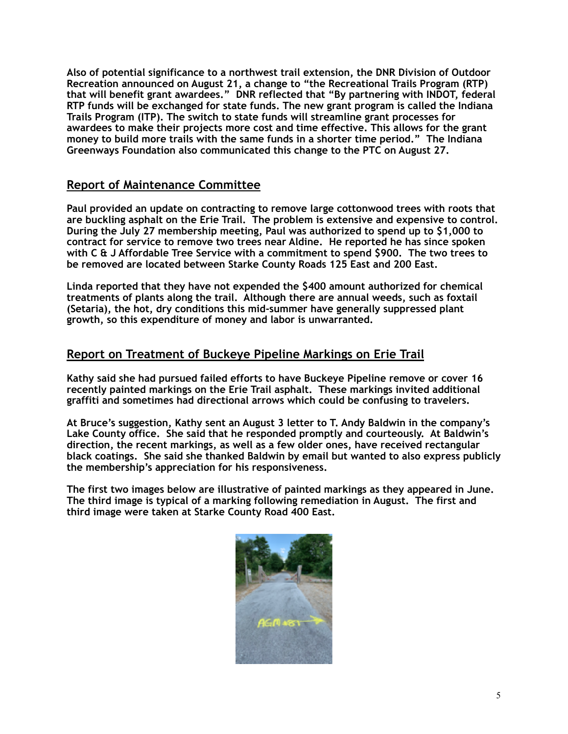**Also of potential significance to a northwest trail extension, the DNR Division of Outdoor Recreation announced on August 21, a change to "the Recreational Trails Program (RTP) that will benefit grant awardees." DNR reflected that "By partnering with INDOT, federal RTP funds will be exchanged for state funds. The new grant program is called the Indiana Trails Program (ITP). The switch to state funds will streamline grant processes for awardees to make their projects more cost and time effective. This allows for the grant money to build more trails with the same funds in a shorter time period." The Indiana Greenways Foundation also communicated this change to the PTC on August 27.** 

### **Report of Maintenance Committee**

**Paul provided an update on contracting to remove large cottonwood trees with roots that are buckling asphalt on the Erie Trail. The problem is extensive and expensive to control. During the July 27 membership meeting, Paul was authorized to spend up to \$1,000 to contract for service to remove two trees near Aldine. He reported he has since spoken with C & J Affordable Tree Service with a commitment to spend \$900. The two trees to be removed are located between Starke County Roads 125 East and 200 East.** 

**Linda reported that they have not expended the \$400 amount authorized for chemical treatments of plants along the trail. Although there are annual weeds, such as foxtail (Setaria), the hot, dry conditions this mid-summer have generally suppressed plant growth, so this expenditure of money and labor is unwarranted.** 

# **Report on Treatment of Buckeye Pipeline Markings on Erie Trail**

**Kathy said she had pursued failed efforts to have Buckeye Pipeline remove or cover 16 recently painted markings on the Erie Trail asphalt. These markings invited additional graffiti and sometimes had directional arrows which could be confusing to travelers.** 

**At Bruce's suggestion, Kathy sent an August 3 letter to T. Andy Baldwin in the company's Lake County office. She said that he responded promptly and courteously. At Baldwin's direction, the recent markings, as well as a few older ones, have received rectangular black coatings. She said she thanked Baldwin by email but wanted to also express publicly the membership's appreciation for his responsiveness.** 

**The first two images below are illustrative of painted markings as they appeared in June. The third image is typical of a marking following remediation in August. The first and third image were taken at Starke County Road 400 East.**

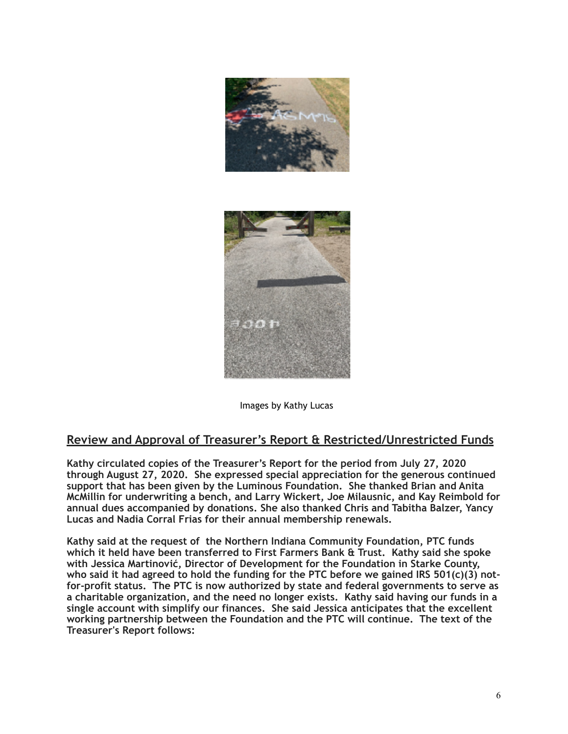



Images by Kathy Lucas

# **Review and Approval of Treasurer's Report & Restricted/Unrestricted Funds**

**Kathy circulated copies of the Treasurer's Report for the period from July 27, 2020 through August 27, 2020. She expressed special appreciation for the generous continued support that has been given by the Luminous Foundation. She thanked Brian and Anita McMillin for underwriting a bench, and Larry Wickert, Joe Milausnic, and Kay Reimbold for annual dues accompanied by donations. She also thanked Chris and Tabitha Balzer, Yancy Lucas and Nadia Corral Frias for their annual membership renewals.** 

**Kathy said at the request of the Northern Indiana Community Foundation, PTC funds which it held have been transferred to First Farmers Bank & Trust. Kathy said she spoke with Jessica Martinović, Director of Development for the Foundation in Starke County, who said it had agreed to hold the funding for the PTC before we gained IRS 501(c)(3) notfor-profit status. The PTC is now authorized by state and federal governments to serve as a charitable organization, and the need no longer exists. Kathy said having our funds in a single account with simplify our finances. She said Jessica anticipates that the excellent working partnership between the Foundation and the PTC will continue. The text of the Treasurer's Report follows:**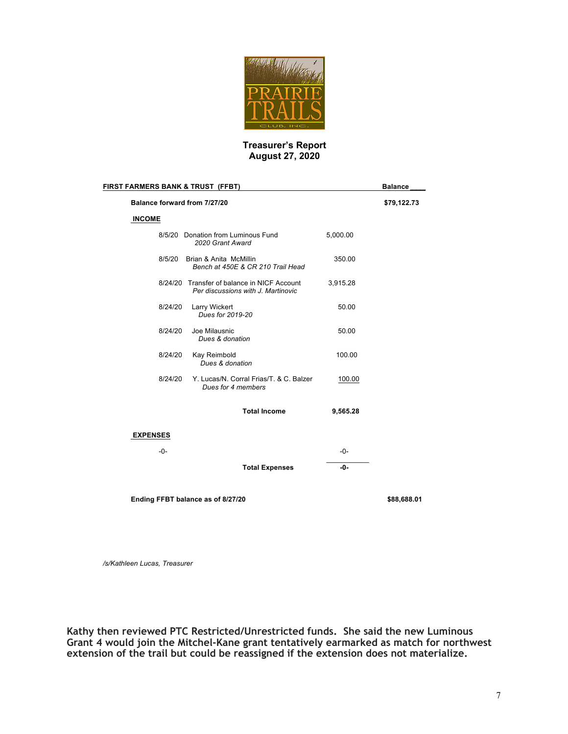

### **Treasurer's Report August 27, 2020**

|                                                                                   | <b>FIRST FARMERS BANK &amp; TRUST (FFBT)</b> |             |
|-----------------------------------------------------------------------------------|----------------------------------------------|-------------|
| Balance forward from 7/27/20                                                      |                                              | \$79,122.73 |
| <b>INCOME</b>                                                                     |                                              |             |
| 8/5/20 Donation from Luminous Fund<br>2020 Grant Award                            | 5,000.00                                     |             |
| 8/5/20<br>Brian & Anita McMillin<br>Bench at 450E & CR 210 Trail Head             | 350.00                                       |             |
| 8/24/20 Transfer of balance in NICF Account<br>Per discussions with J. Martinovic | 3,915.28                                     |             |
| 8/24/20<br>Larry Wickert<br>Dues for 2019-20                                      | 50.00                                        |             |
| Joe Milausnic<br>8/24/20<br>Dues & donation                                       | 50.00                                        |             |
| 8/24/20<br>Kay Reimbold<br>Dues & donation                                        | 100.00                                       |             |
| 8/24/20<br>Y. Lucas/N. Corral Frias/T. & C. Balzer<br>Dues for 4 members          | 100.00                                       |             |
| <b>Total Income</b>                                                               | 9,565.28                                     |             |
| <b>EXPENSES</b>                                                                   |                                              |             |
| -0-                                                                               | -0-                                          |             |
|                                                                                   | -0-                                          |             |

*/s/Kathleen Lucas, Treasurer*

**Kathy then reviewed PTC Restricted/Unrestricted funds. She said the new Luminous Grant 4 would join the Mitchel-Kane grant tentatively earmarked as match for northwest extension of the trail but could be reassigned if the extension does not materialize.**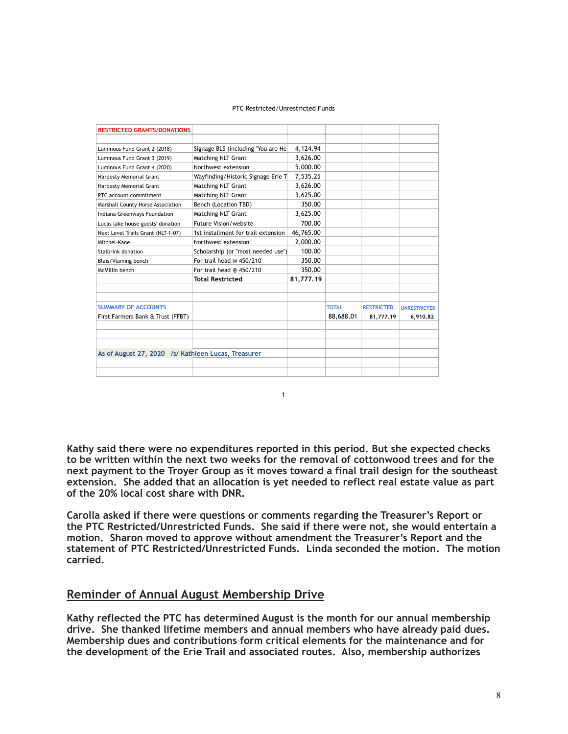#### PTC Restricted/Unrestricted Funds

| <b>RESTRICTED GRANTS/DONATIONS</b>                  |                                     |           |              |                   |                     |
|-----------------------------------------------------|-------------------------------------|-----------|--------------|-------------------|---------------------|
|                                                     |                                     |           |              |                   |                     |
| Luminous Fund Grant 2 (2018)                        | Signage BLS (including "You are He  | 4,124.94  |              |                   |                     |
| Luminous Fund Grant 3 (2019)                        | <b>Matching NLT Grant</b>           | 3,626.00  |              |                   |                     |
| Luminous Fund Grant 4 (2020)                        | Northwest extension                 | 5,000.00  |              |                   |                     |
| Hardesty Memorial Grant                             | Wayfinding/Historic Signage Erie T  | 7,535.25  |              |                   |                     |
| Hardesty Memorial Grant                             | <b>Matching NLT Grant</b>           | 3,626.00  |              |                   |                     |
| PTC account commitment                              | <b>Matching NLT Grant</b>           | 3,625.00  |              |                   |                     |
| Marshall County Horse Association                   | Bench (Location TBD)                | 350.00    |              |                   |                     |
| Indiana Greenways Foundation                        | <b>Matching NLT Grant</b>           | 3,625.00  |              |                   |                     |
| Lucas lake house guests' donation                   | Future Vision/website               | 700.00    |              |                   |                     |
| Next Level Trails Grant (NLT-1-07)                  | 1st installment for trail extension | 46,765.00 |              |                   |                     |
| Mitchel-Kane                                        | Northwest extension                 | 2,000.00  |              |                   |                     |
| Stalbrink donation                                  | Scholarship (or "most needed use")  | 100.00    |              |                   |                     |
| Blais/Vlaming bench                                 | For trail head @ 450/210            | 350.00    |              |                   |                     |
| McMillin bench                                      | For trail head $@$ 450/210          | 350.00    |              |                   |                     |
|                                                     | <b>Total Restricted</b>             | 81,777.19 |              |                   |                     |
|                                                     |                                     |           |              |                   |                     |
|                                                     |                                     |           |              |                   |                     |
| <b>SUMMARY OF ACCOUNTS</b>                          |                                     |           | <b>TOTAL</b> | <b>RESTRICTED</b> | <b>UNRESTRICTED</b> |
| First Farmers Bank & Trust (FFBT)                   |                                     |           | 88,688.01    | 81,777.19         | 6,910.82            |
|                                                     |                                     |           |              |                   |                     |
|                                                     |                                     |           |              |                   |                     |
|                                                     |                                     |           |              |                   |                     |
| As of August 27, 2020 /s/ Kathleen Lucas, Treasurer |                                     |           |              |                   |                     |
|                                                     |                                     |           |              |                   |                     |
|                                                     |                                     |           |              |                   |                     |

**Kathy said there were no expenditures reported in this period. But she expected checks to be written within the next two weeks for the removal of cottonwood trees and for the next payment to the Troyer Group as it moves toward a final trail design for the southeast extension. She added that an allocation is yet needed to reflect real estate value as part of the 20% local cost share with DNR.** 

1

**Carolla asked if there were questions or comments regarding the Treasurer's Report or the PTC Restricted/Unrestricted Funds. She said if there were not, she would entertain a motion. Sharon moved to approve without amendment the Treasurer's Report and the statement of PTC Restricted/Unrestricted Funds. Linda seconded the motion. The motion carried.**

### **Reminder of Annual August Membership Drive**

**Kathy reflected the PTC has determined August is the month for our annual membership drive. She thanked lifetime members and annual members who have already paid dues. Membership dues and contributions form critical elements for the maintenance and for the development of the Erie Trail and associated routes. Also, membership authorizes**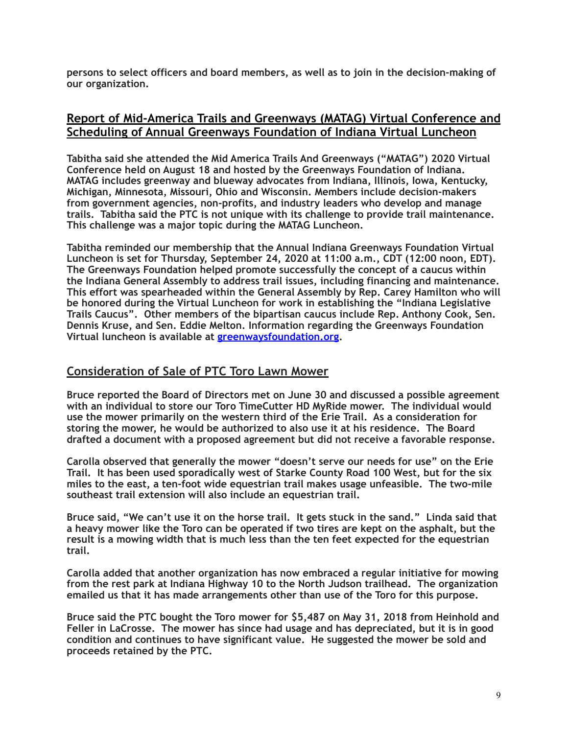**persons to select officers and board members, as well as to join in the decision-making of our organization.** 

# **Report of Mid-America Trails and Greenways (MATAG) Virtual Conference and Scheduling of Annual Greenways Foundation of Indiana Virtual Luncheon**

**Tabitha said she attended the Mid America Trails And Greenways ("MATAG") 2020 Virtual Conference held on August 18 and hosted by the Greenways Foundation of Indiana. MATAG includes greenway and blueway advocates from Indiana, Illinois, Iowa, Kentucky, Michigan, Minnesota, Missouri, Ohio and Wisconsin. Members include decision-makers from government agencies, non-profits, and industry leaders who develop and manage trails. Tabitha said the PTC is not unique with its challenge to provide trail maintenance. This challenge was a major topic during the MATAG Luncheon.** 

**Tabitha reminded our membership that the Annual Indiana Greenways Foundation Virtual Luncheon is set for Thursday, September 24, 2020 at 11:00 a.m., CDT (12:00 noon, EDT). The Greenways Foundation helped promote successfully the concept of a caucus within the Indiana General Assembly to address trail issues, including financing and maintenance. This effort was spearheaded within the General Assembly by Rep. Carey Hamilton who will be honored during the Virtual Luncheon for work in establishing the "Indiana Legislative Trails Caucus". Other members of the bipartisan caucus include Rep. Anthony Cook, Sen. Dennis Kruse, and Sen. Eddie Melton. Information regarding the Greenways Foundation Virtual luncheon is available at [greenwaysfoundation.org.](http://greenwaysfoundation.org)** 

# **Consideration of Sale of PTC Toro Lawn Mower**

**Bruce reported the Board of Directors met on June 30 and discussed a possible agreement with an individual to store our Toro TimeCutter HD MyRide mower. The individual would use the mower primarily on the western third of the Erie Trail. As a consideration for storing the mower, he would be authorized to also use it at his residence. The Board drafted a document with a proposed agreement but did not receive a favorable response.** 

**Carolla observed that generally the mower "doesn't serve our needs for use" on the Erie Trail. It has been used sporadically west of Starke County Road 100 West, but for the six miles to the east, a ten-foot wide equestrian trail makes usage unfeasible. The two-mile southeast trail extension will also include an equestrian trail.** 

**Bruce said, "We can't use it on the horse trail. It gets stuck in the sand." Linda said that a heavy mower like the Toro can be operated if two tires are kept on the asphalt, but the result is a mowing width that is much less than the ten feet expected for the equestrian trail.** 

**Carolla added that another organization has now embraced a regular initiative for mowing from the rest park at Indiana Highway 10 to the North Judson trailhead. The organization emailed us that it has made arrangements other than use of the Toro for this purpose.** 

**Bruce said the PTC bought the Toro mower for \$5,487 on May 31, 2018 from Heinhold and Feller in LaCrosse. The mower has since had usage and has depreciated, but it is in good condition and continues to have significant value. He suggested the mower be sold and proceeds retained by the PTC.**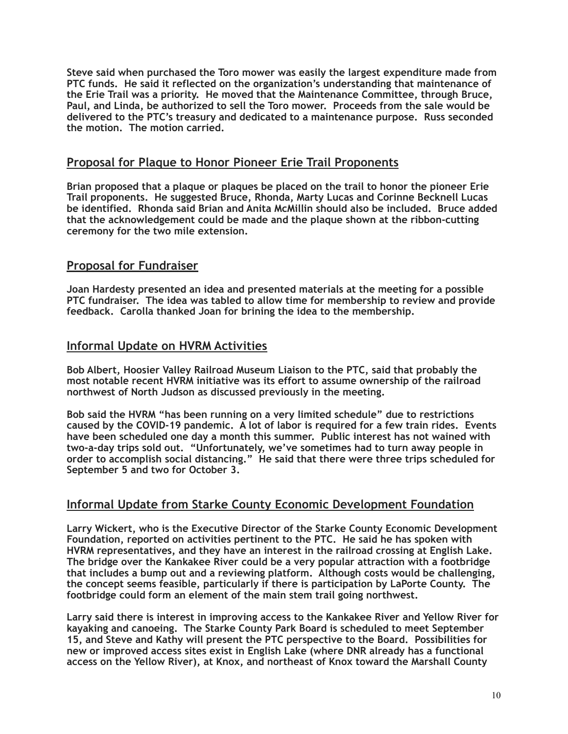**Steve said when purchased the Toro mower was easily the largest expenditure made from PTC funds. He said it reflected on the organization's understanding that maintenance of the Erie Trail was a priority. He moved that the Maintenance Committee, through Bruce, Paul, and Linda, be authorized to sell the Toro mower. Proceeds from the sale would be delivered to the PTC's treasury and dedicated to a maintenance purpose. Russ seconded the motion. The motion carried.** 

### **Proposal for Plaque to Honor Pioneer Erie Trail Proponents**

**Brian proposed that a plaque or plaques be placed on the trail to honor the pioneer Erie Trail proponents. He suggested Bruce, Rhonda, Marty Lucas and Corinne Becknell Lucas be identified. Rhonda said Brian and Anita McMillin should also be included. Bruce added that the acknowledgement could be made and the plaque shown at the ribbon-cutting ceremony for the two mile extension.** 

# **Proposal for Fundraiser**

**Joan Hardesty presented an idea and presented materials at the meeting for a possible PTC fundraiser. The idea was tabled to allow time for membership to review and provide feedback. Carolla thanked Joan for brining the idea to the membership.** 

# **Informal Update on HVRM Activities**

**Bob Albert, Hoosier Valley Railroad Museum Liaison to the PTC, said that probably the most notable recent HVRM initiative was its effort to assume ownership of the railroad northwest of North Judson as discussed previously in the meeting.** 

**Bob said the HVRM "has been running on a very limited schedule" due to restrictions caused by the COVID-19 pandemic. A lot of labor is required for a few train rides. Events have been scheduled one day a month this summer. Public interest has not wained with two-a-day trips sold out. "Unfortunately, we've sometimes had to turn away people in order to accomplish social distancing." He said that there were three trips scheduled for September 5 and two for October 3.** 

# **Informal Update from Starke County Economic Development Foundation**

**Larry Wickert, who is the Executive Director of the Starke County Economic Development Foundation, reported on activities pertinent to the PTC. He said he has spoken with HVRM representatives, and they have an interest in the railroad crossing at English Lake. The bridge over the Kankakee River could be a very popular attraction with a footbridge that includes a bump out and a reviewing platform. Although costs would be challenging, the concept seems feasible, particularly if there is participation by LaPorte County. The footbridge could form an element of the main stem trail going northwest.** 

**Larry said there is interest in improving access to the Kankakee River and Yellow River for kayaking and canoeing. The Starke County Park Board is scheduled to meet September 15, and Steve and Kathy will present the PTC perspective to the Board. Possibilities for new or improved access sites exist in English Lake (where DNR already has a functional access on the Yellow River), at Knox, and northeast of Knox toward the Marshall County**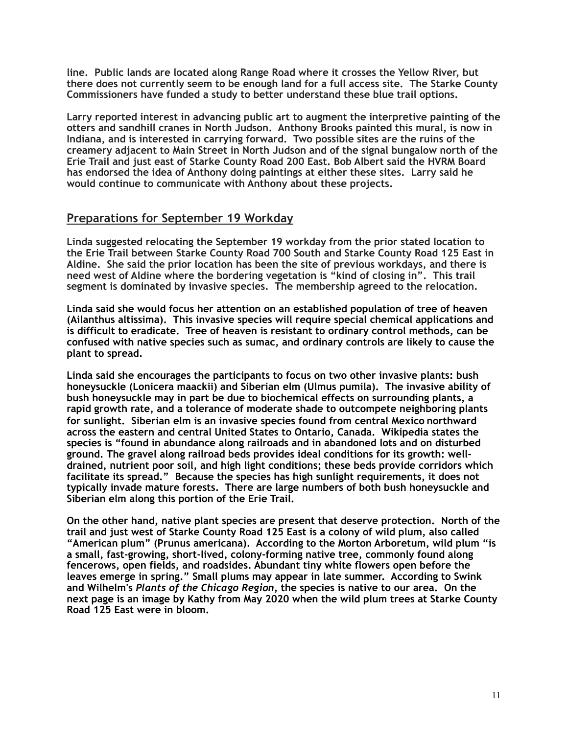**line. Public lands are located along Range Road where it crosses the Yellow River, but there does not currently seem to be enough land for a full access site. The Starke County Commissioners have funded a study to better understand these blue trail options.** 

**Larry reported interest in advancing public art to augment the interpretive painting of the otters and sandhill cranes in North Judson. Anthony Brooks painted this mural, is now in Indiana, and is interested in carrying forward. Two possible sites are the ruins of the creamery adjacent to Main Street in North Judson and of the signal bungalow north of the Erie Trail and just east of Starke County Road 200 East. Bob Albert said the HVRM Board has endorsed the idea of Anthony doing paintings at either these sites. Larry said he would continue to communicate with Anthony about these projects.** 

### **Preparations for September 19 Workday**

**Linda suggested relocating the September 19 workday from the prior stated location to the Erie Trail between Starke County Road 700 South and Starke County Road 125 East in Aldine. She said the prior location has been the site of previous workdays, and there is need west of Aldine where the bordering vegetation is "kind of closing in". This trail segment is dominated by invasive species. The membership agreed to the relocation.** 

**Linda said she would focus her attention on an established population of tree of heaven (Ailanthus altissima). This invasive species will require special chemical applications and is difficult to eradicate. Tree of heaven is resistant to ordinary control methods, can be confused with native species such as sumac, and ordinary controls are likely to cause the plant to spread.** 

**Linda said she encourages the participants to focus on two other invasive plants: bush honeysuckle (Lonicera maackii) and Siberian elm (Ulmus pumila). The invasive ability of bush honeysuckle may in part be due to biochemical effects on surrounding plants, a rapid growth rate, and a tolerance of moderate shade to outcompete neighboring plants for sunlight. Siberian elm is an invasive species found from central Mexico northward across the eastern and central United States to Ontario, Canada. Wikipedia states the species is "found in abundance along railroads and in abandoned lots and on disturbed ground. The gravel along railroad beds provides ideal conditions for its growth: welldrained, nutrient poor soil, and high light conditions; these beds provide corridors which facilitate its spread." Because the species has high sunlight requirements, it does not typically invade mature forests. There are large numbers of both bush honeysuckle and Siberian elm along this portion of the Erie Trail.** 

**On the other hand, native plant species are present that deserve protection. North of the trail and just west of Starke County Road 125 East is a colony of wild plum, also called "American plum" (Prunus americana). According to the Morton Arboretum, wild plum "is a small, fast-growing, short-lived, colony-forming native tree, commonly found along fencerows, open fields, and roadsides. Abundant tiny white flowers open before the leaves emerge in spring." Small plums may appear in late summer. According to Swink and Wilhelm's** *Plants of the Chicago Region,* **the species is native to our area. On the next page is an image by Kathy from May 2020 when the wild plum trees at Starke County Road 125 East were in bloom.**